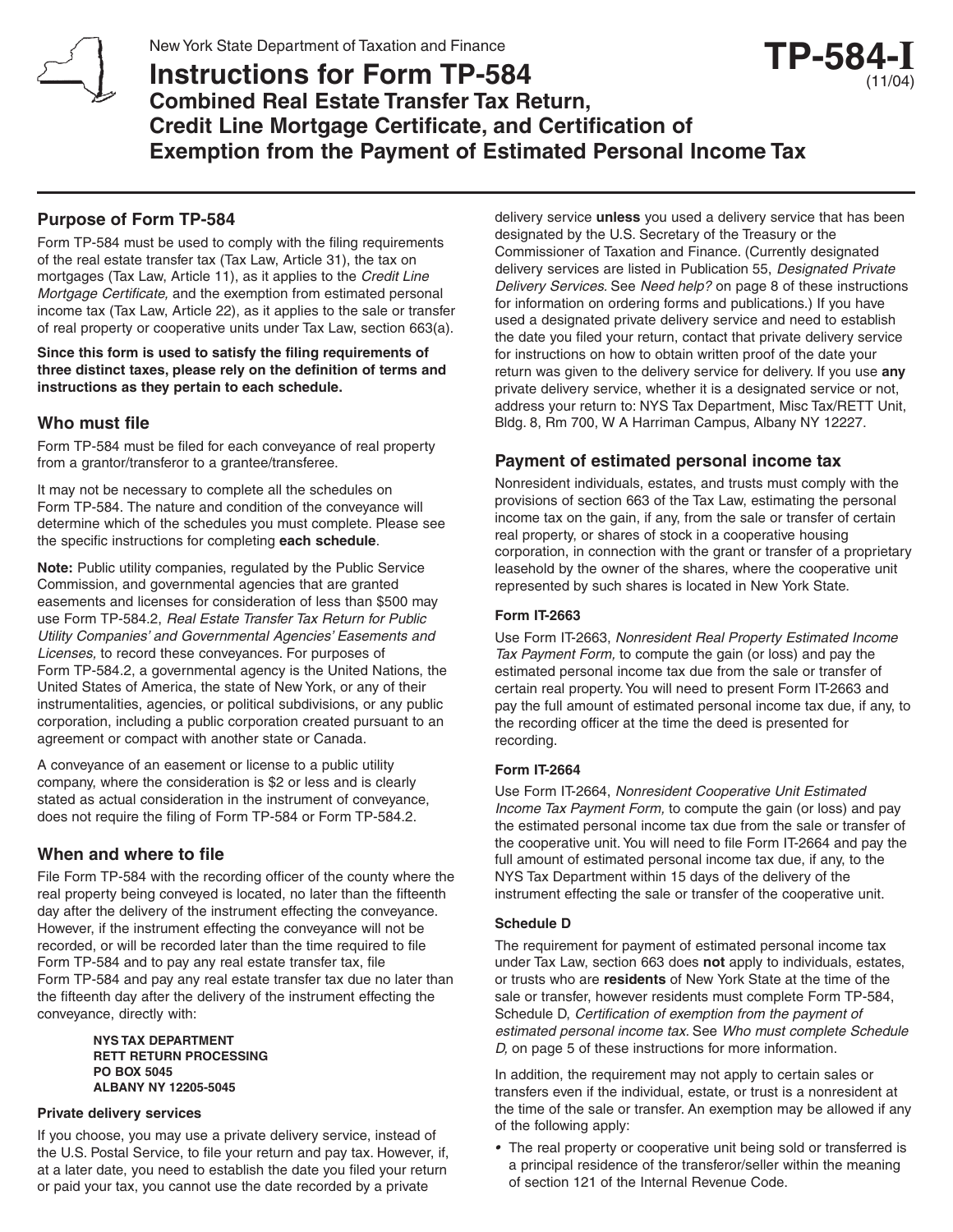

# **Instructions for Form TP-584 Combined Real Estate Transfer Tax Return, Credit Line Mortgage Certificate, and Certification of Exemption from the Payment of Estimated Personal Income Tax TP-584-I**

## **Purpose of Form TP-584**

Form TP-584 must be used to comply with the filing requirements of the real estate transfer tax (Tax Law, Article 31), the tax on mortgages (Tax Law, Article 11), as it applies to the Credit Line Mortgage Certificate, and the exemption from estimated personal income tax (Tax Law, Article 22), as it applies to the sale or transfer of real property or cooperative units under Tax Law, section 663(a).

**Since this form is used to satisfy the filing requirements of three distinct taxes, please rely on the definition of terms and instructions as they pertain to each schedule.**

## **Who must file**

Form TP-584 must be filed for each conveyance of real property from a grantor/transferor to a grantee/transferee.

It may not be necessary to complete all the schedules on Form TP-584. The nature and condition of the conveyance will determine which of the schedules you must complete. Please see the specific instructions for completing **each schedule**.

**Note:** Public utility companies, regulated by the Public Service Commission, and governmental agencies that are granted easements and licenses for consideration of less than \$500 may use Form TP-584.2, Real Estate Transfer Tax Return for Public Utility Companies' and Governmental Agencies' Easements and Licenses, to record these conveyances. For purposes of Form TP-584.2, a governmental agency is the United Nations, the United States of America, the state of New York, or any of their instrumentalities, agencies, or political subdivisions, or any public corporation, including a public corporation created pursuant to an agreement or compact with another state or Canada.

A conveyance of an easement or license to a public utility company, where the consideration is \$2 or less and is clearly stated as actual consideration in the instrument of conveyance, does not require the filing of Form TP-584 or Form TP-584.2.

## **When and where to file**

File Form TP-584 with the recording officer of the county where the real property being conveyed is located, no later than the fifteenth day after the delivery of the instrument effecting the conveyance. However, if the instrument effecting the conveyance will not be recorded, or will be recorded later than the time required to file Form TP-584 and to pay any real estate transfer tax, file Form TP-584 and pay any real estate transfer tax due no later than the fifteenth day after the delivery of the instrument effecting the conveyance, directly with:

> **NYS TAX DEPARTMENT RETT RETURN PROCESSING PO BOX 5045 ALBANY NY 12205-5045**

## **Private delivery services**

If you choose, you may use a private delivery service, instead of the U.S. Postal Service, to file your return and pay tax. However, if, at a later date, you need to establish the date you filed your return or paid your tax, you cannot use the date recorded by a private

delivery service **unless** you used a delivery service that has been designated by the U.S. Secretary of the Treasury or the Commissioner of Taxation and Finance. (Currently designated delivery services are listed in Publication 55, Designated Private Delivery Services. See Need help? on page 8 of these instructions for information on ordering forms and publications.) If you have used a designated private delivery service and need to establish the date you filed your return, contact that private delivery service for instructions on how to obtain written proof of the date your return was given to the delivery service for delivery. If you use **any** private delivery service, whether it is a designated service or not, address your return to: NYS Tax Department, Misc Tax/RETT Unit, Bldg. 8, Rm 700, W A Harriman Campus, Albany NY 12227.

(11/04)

## **Payment of estimated personal income tax**

Nonresident individuals, estates, and trusts must comply with the provisions of section 663 of the Tax Law, estimating the personal income tax on the gain, if any, from the sale or transfer of certain real property, or shares of stock in a cooperative housing corporation, in connection with the grant or transfer of a proprietary leasehold by the owner of the shares, where the cooperative unit represented by such shares is located in New York State.

## **Form IT-2663**

Use Form IT-2663, Nonresident Real Property Estimated Income Tax Payment Form, to compute the gain (or loss) and pay the estimated personal income tax due from the sale or transfer of certain real property. You will need to present Form IT-2663 and pay the full amount of estimated personal income tax due, if any, to the recording officer at the time the deed is presented for recording.

## **Form IT-2664**

Use Form IT-2664, Nonresident Cooperative Unit Estimated Income Tax Payment Form, to compute the gain (or loss) and pay the estimated personal income tax due from the sale or transfer of the cooperative unit. You will need to file Form IT-2664 and pay the full amount of estimated personal income tax due, if any, to the NYS Tax Department within 15 days of the delivery of the instrument effecting the sale or transfer of the cooperative unit.

## **Schedule D**

The requirement for payment of estimated personal income tax under Tax Law, section 663 does **not** apply to individuals, estates, or trusts who are **residents** of New York State at the time of the sale or transfer, however residents must complete Form TP-584, Schedule D, Certification of exemption from the payment of estimated personal income tax. See Who must complete Schedule D, on page 5 of these instructions for more information.

In addition, the requirement may not apply to certain sales or transfers even if the individual, estate, or trust is a nonresident at the time of the sale or transfer. An exemption may be allowed if any of the following apply:

• The real property or cooperative unit being sold or transferred is a principal residence of the transferor/seller within the meaning of section 121 of the Internal Revenue Code.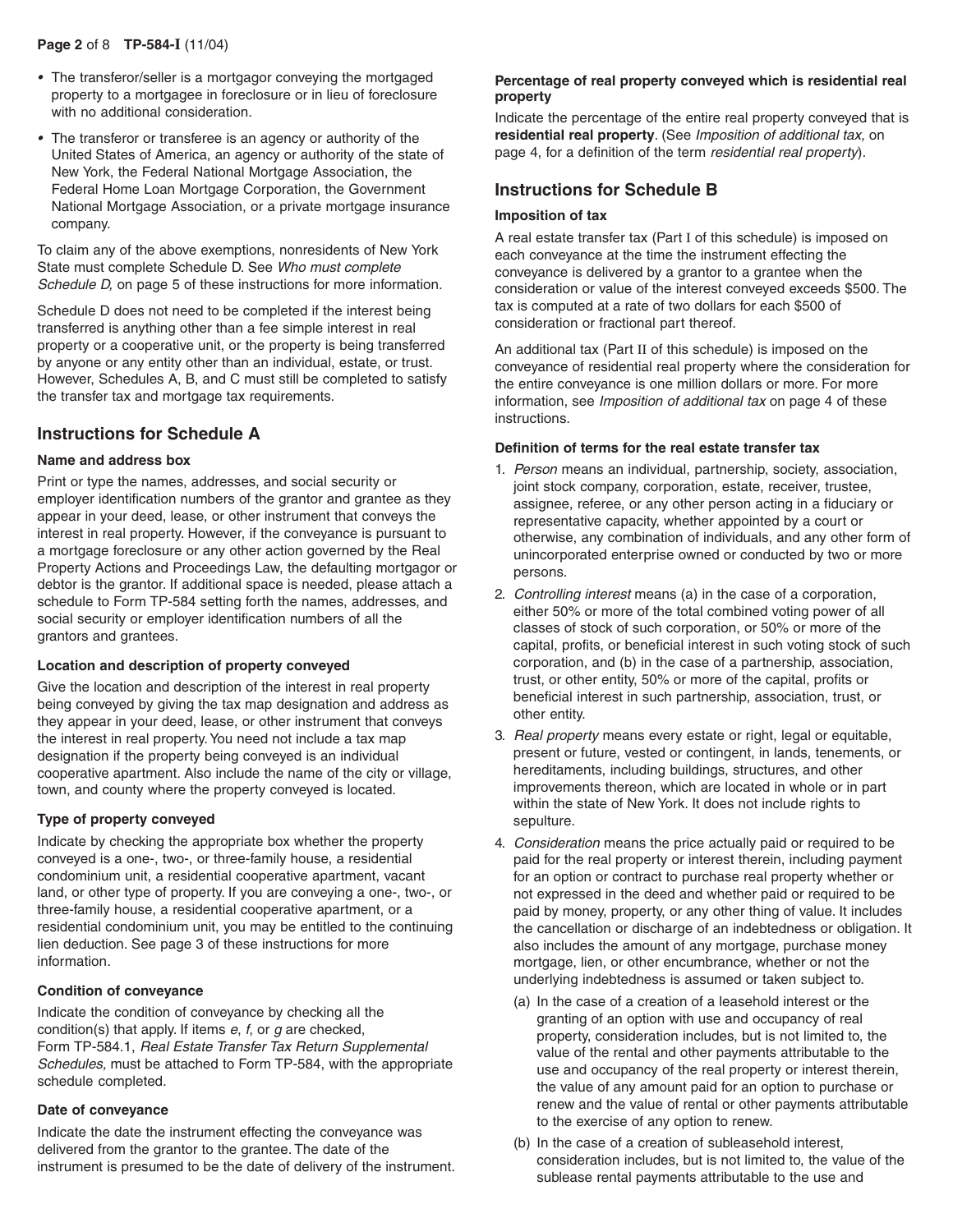## **Page 2** of 8 **TP-584-I** (11/04)

- The transferor/seller is a mortgagor conveying the mortgaged property to a mortgagee in foreclosure or in lieu of foreclosure with no additional consideration.
- The transferor or transferee is an agency or authority of the United States of America, an agency or authority of the state of New York, the Federal National Mortgage Association, the Federal Home Loan Mortgage Corporation, the Government National Mortgage Association, or a private mortgage insurance company.

To claim any of the above exemptions, nonresidents of New York State must complete Schedule D. See Who must complete Schedule D, on page 5 of these instructions for more information.

Schedule D does not need to be completed if the interest being transferred is anything other than a fee simple interest in real property or a cooperative unit, or the property is being transferred by anyone or any entity other than an individual, estate, or trust. However, Schedules A, B, and C must still be completed to satisfy the transfer tax and mortgage tax requirements.

## **Instructions for Schedule A**

## **Name and address box**

Print or type the names, addresses, and social security or employer identification numbers of the grantor and grantee as they appear in your deed, lease, or other instrument that conveys the interest in real property. However, if the conveyance is pursuant to a mortgage foreclosure or any other action governed by the Real Property Actions and Proceedings Law, the defaulting mortgagor or debtor is the grantor. If additional space is needed, please attach a schedule to Form TP-584 setting forth the names, addresses, and social security or employer identification numbers of all the grantors and grantees.

#### **Location and description of property conveyed**

Give the location and description of the interest in real property being conveyed by giving the tax map designation and address as they appear in your deed, lease, or other instrument that conveys the interest in real property. You need not include a tax map designation if the property being conveved is an individual cooperative apartment. Also include the name of the city or village, town, and county where the property conveyed is located.

## **Type of property conveyed**

Indicate by checking the appropriate box whether the property conveyed is a one-, two-, or three-family house, a residential condominium unit, a residential cooperative apartment, vacant land, or other type of property. If you are conveying a one-, two-, or three-family house, a residential cooperative apartment, or a residential condominium unit, you may be entitled to the continuing lien deduction. See page 3 of these instructions for more information.

#### **Condition of conveyance**

Indicate the condition of conveyance by checking all the condition(s) that apply. If items  $e$ ,  $f$ , or  $g$  are checked, Form TP-584.1, Real Estate Transfer Tax Return Supplemental Schedules, must be attached to Form TP-584, with the appropriate schedule completed.

#### **Date of conveyance**

Indicate the date the instrument effecting the conveyance was delivered from the grantor to the grantee. The date of the instrument is presumed to be the date of delivery of the instrument.

#### **Percentage of real property conveyed which is residential real property**

Indicate the percentage of the entire real property conveyed that is **residential real property**. (See Imposition of additional tax, on page 4, for a definition of the term residential real property).

## **Instructions for Schedule B**

#### **Imposition of tax**

A real estate transfer tax (Part I of this schedule) is imposed on each conveyance at the time the instrument effecting the conveyance is delivered by a grantor to a grantee when the consideration or value of the interest conveyed exceeds \$500. The tax is computed at a rate of two dollars for each \$500 of consideration or fractional part thereof.

An additional tax (Part II of this schedule) is imposed on the conveyance of residential real property where the consideration for the entire conveyance is one million dollars or more. For more information, see Imposition of additional tax on page 4 of these instructions.

#### **Definition of terms for the real estate transfer tax**

- 1. Person means an individual, partnership, society, association, joint stock company, corporation, estate, receiver, trustee, assignee, referee, or any other person acting in a fiduciary or representative capacity, whether appointed by a court or otherwise, any combination of individuals, and any other form of unincorporated enterprise owned or conducted by two or more persons.
- 2. Controlling interest means (a) in the case of a corporation, either 50% or more of the total combined voting power of all classes of stock of such corporation, or 50% or more of the capital, profits, or beneficial interest in such voting stock of such corporation, and (b) in the case of a partnership, association, trust, or other entity, 50% or more of the capital, profits or beneficial interest in such partnership, association, trust, or other entity.
- 3. Real property means every estate or right, legal or equitable, present or future, vested or contingent, in lands, tenements, or hereditaments, including buildings, structures, and other improvements thereon, which are located in whole or in part within the state of New York. It does not include rights to sepulture.
- 4. Consideration means the price actually paid or required to be paid for the real property or interest therein, including payment for an option or contract to purchase real property whether or not expressed in the deed and whether paid or required to be paid by money, property, or any other thing of value. It includes the cancellation or discharge of an indebtedness or obligation. It also includes the amount of any mortgage, purchase money mortgage, lien, or other encumbrance, whether or not the underlying indebtedness is assumed or taken subject to.
	- (a) In the case of a creation of a leasehold interest or the granting of an option with use and occupancy of real property, consideration includes, but is not limited to, the value of the rental and other payments attributable to the use and occupancy of the real property or interest therein, the value of any amount paid for an option to purchase or renew and the value of rental or other payments attributable to the exercise of any option to renew.
	- (b) In the case of a creation of subleasehold interest, consideration includes, but is not limited to, the value of the sublease rental payments attributable to the use and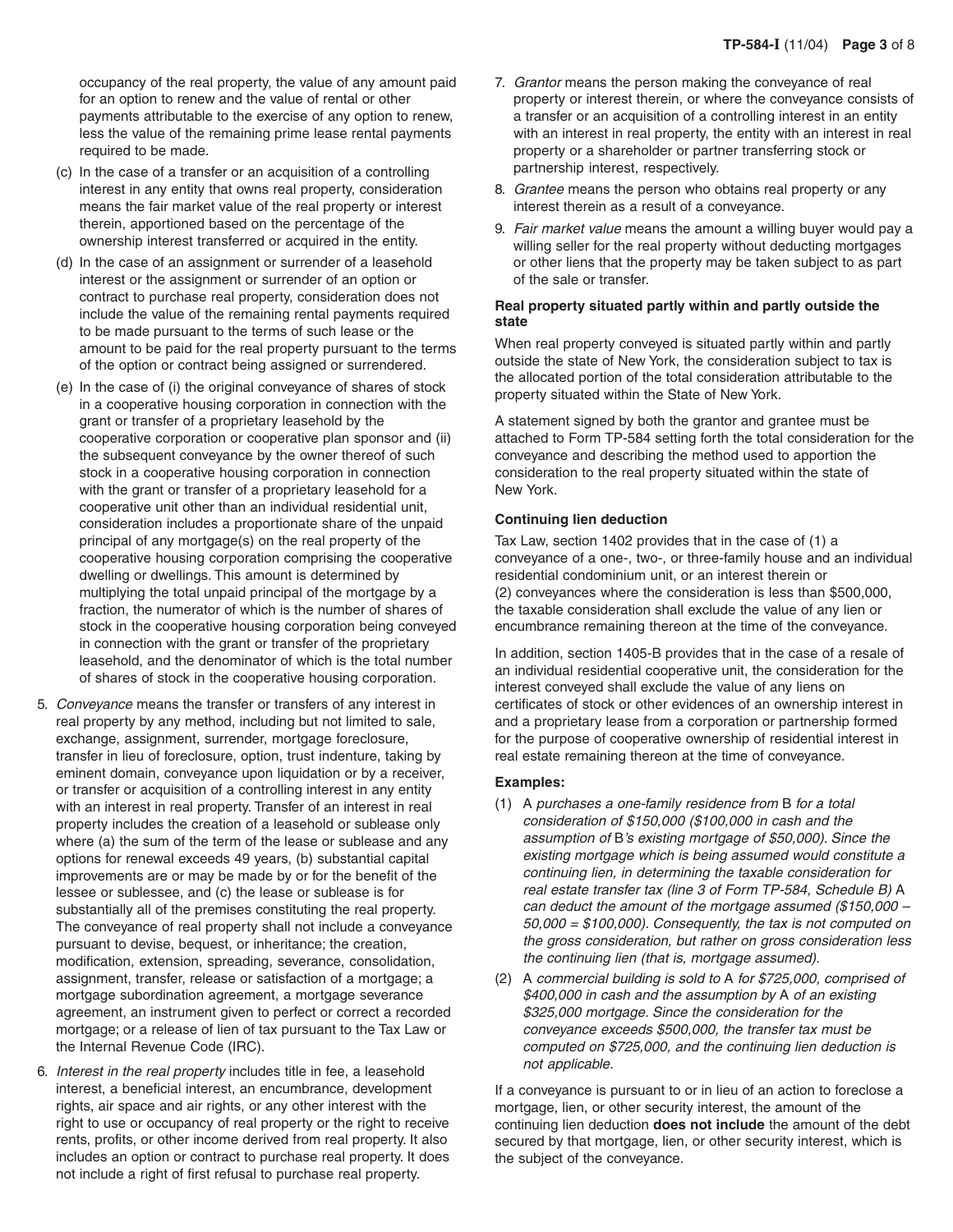occupancy of the real property, the value of any amount paid for an option to renew and the value of rental or other payments attributable to the exercise of any option to renew, less the value of the remaining prime lease rental payments required to be made.

- (c) In the case of a transfer or an acquisition of a controlling interest in any entity that owns real property, consideration means the fair market value of the real property or interest therein, apportioned based on the percentage of the ownership interest transferred or acquired in the entity.
- (d) In the case of an assignment or surrender of a leasehold interest or the assignment or surrender of an option or contract to purchase real property, consideration does not include the value of the remaining rental payments required to be made pursuant to the terms of such lease or the amount to be paid for the real property pursuant to the terms of the option or contract being assigned or surrendered.
- (e) In the case of (i) the original conveyance of shares of stock in a cooperative housing corporation in connection with the grant or transfer of a proprietary leasehold by the cooperative corporation or cooperative plan sponsor and (ii) the subsequent conveyance by the owner thereof of such stock in a cooperative housing corporation in connection with the grant or transfer of a proprietary leasehold for a cooperative unit other than an individual residential unit, consideration includes a proportionate share of the unpaid principal of any mortgage(s) on the real property of the cooperative housing corporation comprising the cooperative dwelling or dwellings. This amount is determined by multiplying the total unpaid principal of the mortgage by a fraction, the numerator of which is the number of shares of stock in the cooperative housing corporation being conveyed in connection with the grant or transfer of the proprietary leasehold, and the denominator of which is the total number of shares of stock in the cooperative housing corporation.
- 5. Conveyance means the transfer or transfers of any interest in real property by any method, including but not limited to sale, exchange, assignment, surrender, mortgage foreclosure, transfer in lieu of foreclosure, option, trust indenture, taking by eminent domain, conveyance upon liquidation or by a receiver, or transfer or acquisition of a controlling interest in any entity with an interest in real property. Transfer of an interest in real property includes the creation of a leasehold or sublease only where (a) the sum of the term of the lease or sublease and any options for renewal exceeds 49 years, (b) substantial capital improvements are or may be made by or for the benefit of the lessee or sublessee, and (c) the lease or sublease is for substantially all of the premises constituting the real property. The conveyance of real property shall not include a conveyance pursuant to devise, bequest, or inheritance; the creation, modification, extension, spreading, severance, consolidation, assignment, transfer, release or satisfaction of a mortgage; a mortgage subordination agreement, a mortgage severance agreement, an instrument given to perfect or correct a recorded mortgage; or a release of lien of tax pursuant to the Tax Law or the Internal Revenue Code (IRC).
- 6. Interest in the real property includes title in fee, a leasehold interest, a beneficial interest, an encumbrance, development rights, air space and air rights, or any other interest with the right to use or occupancy of real property or the right to receive rents, profits, or other income derived from real property. It also includes an option or contract to purchase real property. It does not include a right of first refusal to purchase real property.
- 7. Grantor means the person making the conveyance of real property or interest therein, or where the conveyance consists of a transfer or an acquisition of a controlling interest in an entity with an interest in real property, the entity with an interest in real property or a shareholder or partner transferring stock or partnership interest, respectively.
- 8. Grantee means the person who obtains real property or any interest therein as a result of a conveyance.
- 9. Fair market value means the amount a willing buyer would pay a willing seller for the real property without deducting mortgages or other liens that the property may be taken subject to as part of the sale or transfer.

## **Real property situated partly within and partly outside the state**

When real property conveyed is situated partly within and partly outside the state of New York, the consideration subject to tax is the allocated portion of the total consideration attributable to the property situated within the State of New York.

A statement signed by both the grantor and grantee must be attached to Form TP-584 setting forth the total consideration for the conveyance and describing the method used to apportion the consideration to the real property situated within the state of New York.

## **Continuing lien deduction**

Tax Law, section 1402 provides that in the case of (1) a conveyance of a one-, two-, or three-family house and an individual residential condominium unit, or an interest therein or (2) conveyances where the consideration is less than \$500,000, the taxable consideration shall exclude the value of any lien or encumbrance remaining thereon at the time of the conveyance.

In addition, section 1405-B provides that in the case of a resale of an individual residential cooperative unit, the consideration for the interest conveyed shall exclude the value of any liens on certificates of stock or other evidences of an ownership interest in and a proprietary lease from a corporation or partnership formed for the purpose of cooperative ownership of residential interest in real estate remaining thereon at the time of conveyance.

## **Examples:**

- (1) A purchases a one-family residence from B for a total consideration of \$150,000 (\$100,000 in cash and the assumption of B's existing mortgage of \$50,000). Since the existing mortgage which is being assumed would constitute a continuing lien, in determining the taxable consideration for real estate transfer tax (line 3 of Form TP-584, Schedule B) A can deduct the amount of the mortgage assumed (\$150,000 –  $50,000 = $100,000$ . Consequently, the tax is not computed on the gross consideration, but rather on gross consideration less the continuing lien (that is, mortgage assumed).
- (2) A commercial building is sold to A for \$725,000, comprised of \$400,000 in cash and the assumption by A of an existing \$325,000 mortgage. Since the consideration for the conveyance exceeds \$500,000, the transfer tax must be computed on \$725,000, and the continuing lien deduction is not applicable.

If a conveyance is pursuant to or in lieu of an action to foreclose a mortgage, lien, or other security interest, the amount of the continuing lien deduction **does not include** the amount of the debt secured by that mortgage, lien, or other security interest, which is the subject of the conveyance.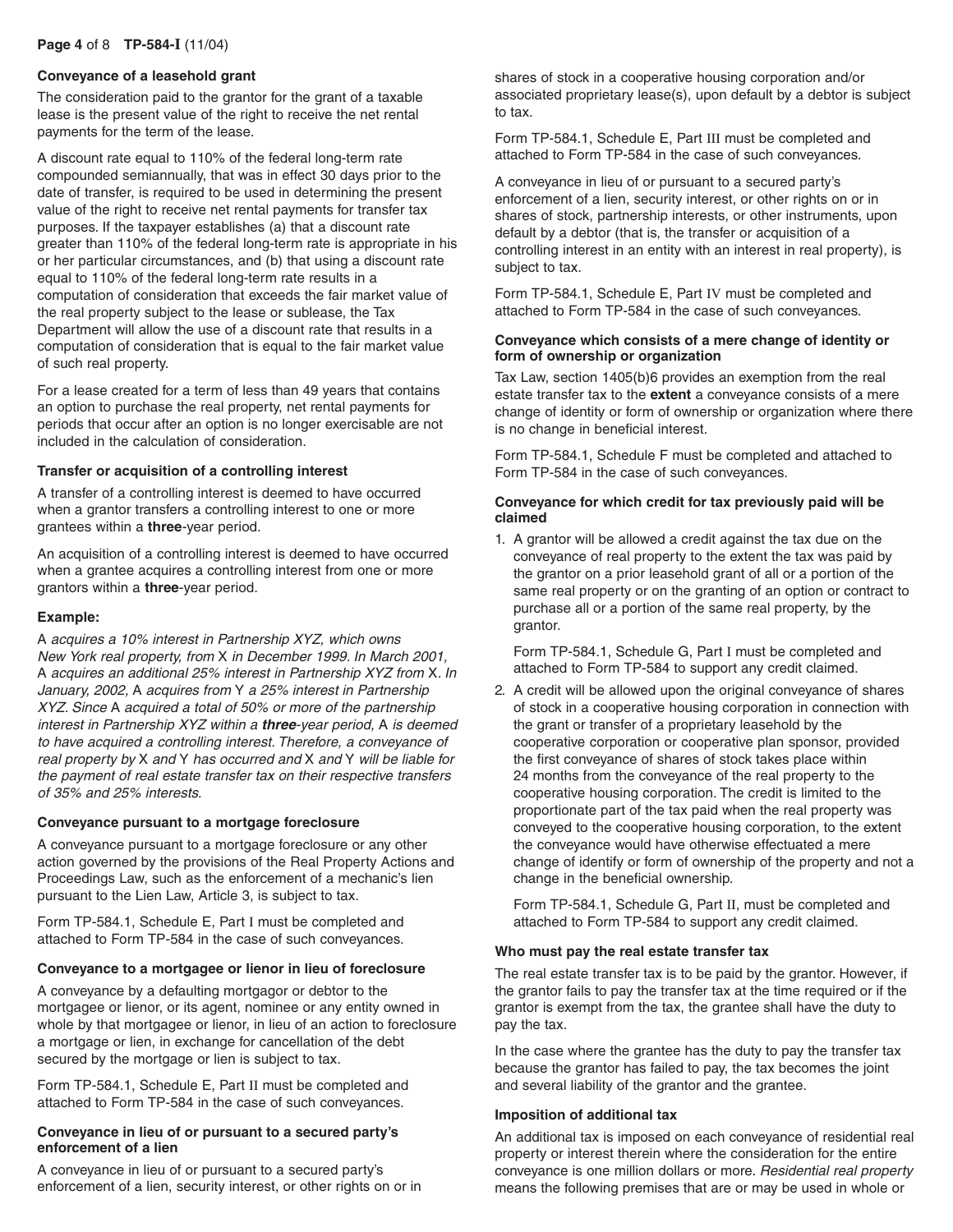#### **Conveyance of a leasehold grant**

The consideration paid to the grantor for the grant of a taxable lease is the present value of the right to receive the net rental payments for the term of the lease.

A discount rate equal to 110% of the federal long-term rate compounded semiannually, that was in effect 30 days prior to the date of transfer, is required to be used in determining the present value of the right to receive net rental payments for transfer tax purposes. If the taxpayer establishes (a) that a discount rate greater than 110% of the federal long-term rate is appropriate in his or her particular circumstances, and (b) that using a discount rate equal to 110% of the federal long-term rate results in a computation of consideration that exceeds the fair market value of the real property subject to the lease or sublease, the Tax Department will allow the use of a discount rate that results in a computation of consideration that is equal to the fair market value of such real property.

For a lease created for a term of less than 49 years that contains an option to purchase the real property, net rental payments for periods that occur after an option is no longer exercisable are not included in the calculation of consideration.

#### **Transfer or acquisition of a controlling interest**

A transfer of a controlling interest is deemed to have occurred when a grantor transfers a controlling interest to one or more grantees within a **three**-year period.

An acquisition of a controlling interest is deemed to have occurred when a grantee acquires a controlling interest from one or more grantors within a **three**-year period.

#### **Example:**

A acquires a 10% interest in Partnership XYZ, which owns New York real property, from X in December 1999. In March 2001, A acquires an additional 25% interest in Partnership XYZ from X. In January, 2002, A acquires from Y a 25% interest in Partnership XYZ. Since A acquired a total of 50% or more of the partnership interest in Partnership XYZ within a **three**-year period, A is deemed to have acquired a controlling interest. Therefore, a conveyance of real property by X and Y has occurred and X and Y will be liable for the payment of real estate transfer tax on their respective transfers of 35% and 25% interests.

#### **Conveyance pursuant to a mortgage foreclosure**

A conveyance pursuant to a mortgage foreclosure or any other action governed by the provisions of the Real Property Actions and Proceedings Law, such as the enforcement of a mechanic's lien pursuant to the Lien Law, Article 3, is subject to tax.

Form TP-584.1, Schedule E, Part I must be completed and attached to Form TP-584 in the case of such conveyances.

#### **Conveyance to a mortgagee or lienor in lieu of foreclosure**

A conveyance by a defaulting mortgagor or debtor to the mortgagee or lienor, or its agent, nominee or any entity owned in whole by that mortgagee or lienor, in lieu of an action to foreclosure a mortgage or lien, in exchange for cancellation of the debt secured by the mortgage or lien is subject to tax.

Form TP-584.1, Schedule E, Part II must be completed and attached to Form TP-584 in the case of such conveyances.

#### **Conveyance in lieu of or pursuant to a secured party's enforcement of a lien**

A conveyance in lieu of or pursuant to a secured party's enforcement of a lien, security interest, or other rights on or in shares of stock in a cooperative housing corporation and/or associated proprietary lease(s), upon default by a debtor is subject to tax.

Form TP-584.1, Schedule E, Part III must be completed and attached to Form TP-584 in the case of such conveyances.

A conveyance in lieu of or pursuant to a secured party's enforcement of a lien, security interest, or other rights on or in shares of stock, partnership interests, or other instruments, upon default by a debtor (that is, the transfer or acquisition of a controlling interest in an entity with an interest in real property), is subject to tax.

Form TP-584.1, Schedule E, Part IV must be completed and attached to Form TP-584 in the case of such conveyances.

#### **Conveyance which consists of a mere change of identity or form of ownership or organization**

Tax Law, section 1405(b)6 provides an exemption from the real estate transfer tax to the **extent** a conveyance consists of a mere change of identity or form of ownership or organization where there is no change in beneficial interest.

Form TP-584.1, Schedule F must be completed and attached to Form TP-584 in the case of such conveyances.

#### **Conveyance for which credit for tax previously paid will be claimed**

1. A grantor will be allowed a credit against the tax due on the conveyance of real property to the extent the tax was paid by the grantor on a prior leasehold grant of all or a portion of the same real property or on the granting of an option or contract to purchase all or a portion of the same real property, by the grantor.

Form TP-584.1, Schedule G, Part I must be completed and attached to Form TP-584 to support any credit claimed.

2. A credit will be allowed upon the original conveyance of shares of stock in a cooperative housing corporation in connection with the grant or transfer of a proprietary leasehold by the cooperative corporation or cooperative plan sponsor, provided the first conveyance of shares of stock takes place within 24 months from the conveyance of the real property to the cooperative housing corporation. The credit is limited to the proportionate part of the tax paid when the real property was conveyed to the cooperative housing corporation, to the extent the conveyance would have otherwise effectuated a mere change of identify or form of ownership of the property and not a change in the beneficial ownership.

Form TP-584.1, Schedule G, Part II, must be completed and attached to Form TP-584 to support any credit claimed.

#### **Who must pay the real estate transfer tax**

The real estate transfer tax is to be paid by the grantor. However, if the grantor fails to pay the transfer tax at the time required or if the grantor is exempt from the tax, the grantee shall have the duty to pay the tax.

In the case where the grantee has the duty to pay the transfer tax because the grantor has failed to pay, the tax becomes the joint and several liability of the grantor and the grantee.

#### **Imposition of additional tax**

An additional tax is imposed on each conveyance of residential real property or interest therein where the consideration for the entire conveyance is one million dollars or more. Residential real property means the following premises that are or may be used in whole or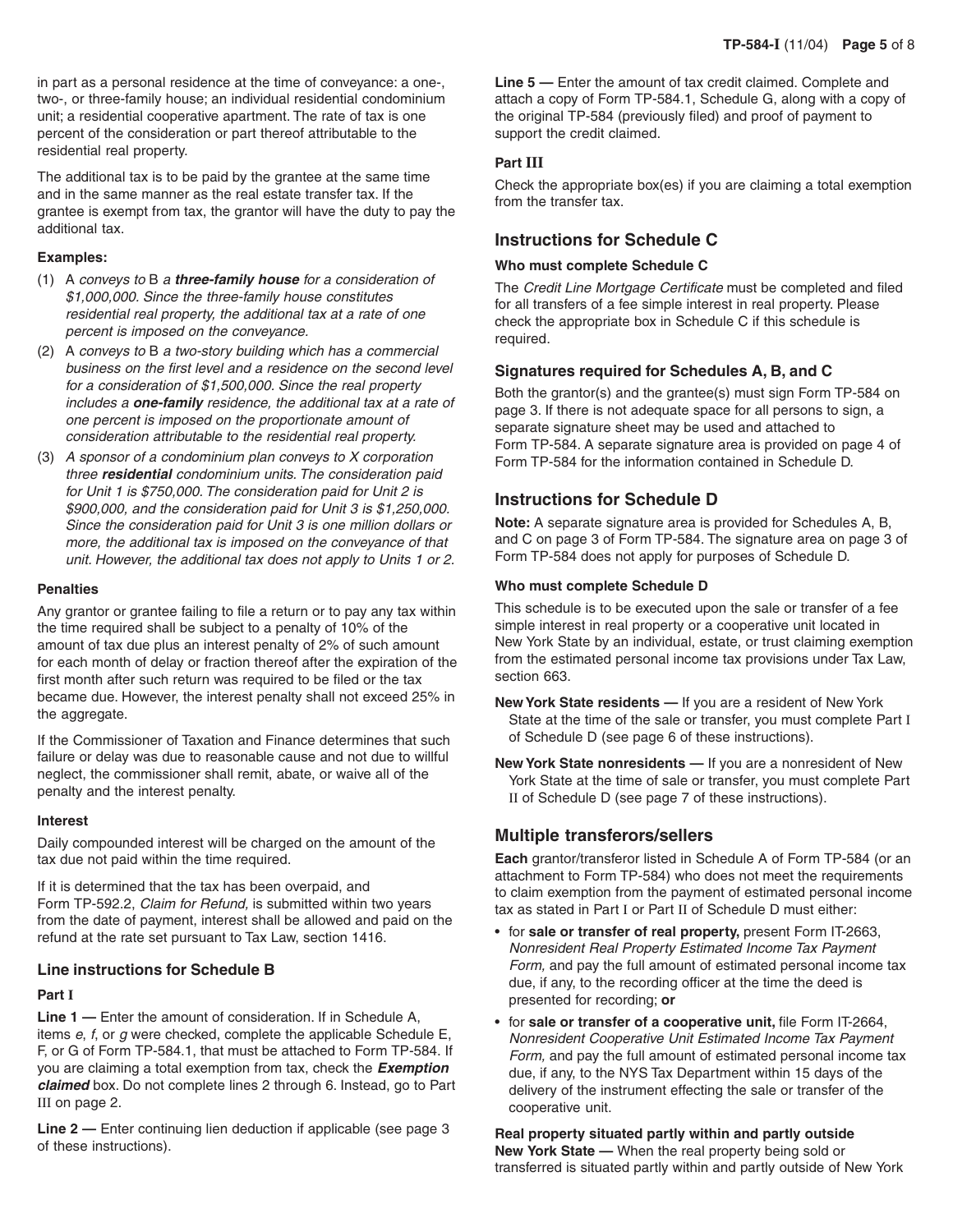in part as a personal residence at the time of conveyance: a one-, two-, or three-family house; an individual residential condominium unit; a residential cooperative apartment. The rate of tax is one percent of the consideration or part thereof attributable to the residential real property.

The additional tax is to be paid by the grantee at the same time and in the same manner as the real estate transfer tax. If the grantee is exempt from tax, the grantor will have the duty to pay the additional tax.

#### **Examples:**

- (1) A conveys to B a **three-family house** for a consideration of \$1,000,000. Since the three-family house constitutes residential real property, the additional tax at a rate of one percent is imposed on the conveyance.
- (2) A conveys to B a two-story building which has a commercial business on the first level and a residence on the second level for a consideration of \$1,500,000. Since the real property includes a **one-family** residence, the additional tax at a rate of one percent is imposed on the proportionate amount of consideration attributable to the residential real property.
- (3) A sponsor of a condominium plan conveys to X corporation three **residential** condominium units. The consideration paid for Unit 1 is \$750,000. The consideration paid for Unit 2 is \$900,000, and the consideration paid for Unit 3 is \$1,250,000. Since the consideration paid for Unit 3 is one million dollars or more, the additional tax is imposed on the conveyance of that unit. However, the additional tax does not apply to Units 1 or 2.

#### **Penalties**

Any grantor or grantee failing to file a return or to pay any tax within the time required shall be subject to a penalty of 10% of the amount of tax due plus an interest penalty of 2% of such amount for each month of delay or fraction thereof after the expiration of the first month after such return was required to be filed or the tax became due. However, the interest penalty shall not exceed 25% in the aggregate.

If the Commissioner of Taxation and Finance determines that such failure or delay was due to reasonable cause and not due to willful neglect, the commissioner shall remit, abate, or waive all of the penalty and the interest penalty.

#### **Interest**

Daily compounded interest will be charged on the amount of the tax due not paid within the time required.

If it is determined that the tax has been overpaid, and Form TP-592.2, Claim for Refund, is submitted within two years from the date of payment, interest shall be allowed and paid on the refund at the rate set pursuant to Tax Law, section 1416.

## **Line instructions for Schedule B**

## **Part I**

**Line 1 —** Enter the amount of consideration. If in Schedule A, items  $e$ ,  $f$ , or  $g$  were checked, complete the applicable Schedule E, F, or G of Form TP-584.1, that must be attached to Form TP-584. If you are claiming a total exemption from tax, check the **Exemption claimed** box. Do not complete lines 2 through 6. Instead, go to Part III on page 2.

**Line 2 —** Enter continuing lien deduction if applicable (see page 3 of these instructions).

**Line 5 —** Enter the amount of tax credit claimed. Complete and attach a copy of Form TP-584.1, Schedule G, along with a copy of the original TP-584 (previously filed) and proof of payment to support the credit claimed.

## **Part III**

Check the appropriate box(es) if you are claiming a total exemption from the transfer tax.

## **Instructions for Schedule C**

## **Who must complete Schedule C**

The Credit Line Mortgage Certificate must be completed and filed for all transfers of a fee simple interest in real property. Please check the appropriate box in Schedule C if this schedule is required.

## **Signatures required for Schedules A, B, and C**

Both the grantor(s) and the grantee(s) must sign Form TP-584 on page 3. If there is not adequate space for all persons to sign, a separate signature sheet may be used and attached to Form TP-584. A separate signature area is provided on page 4 of Form TP-584 for the information contained in Schedule D.

## **Instructions for Schedule D**

**Note:** A separate signature area is provided for Schedules A, B, and C on page 3 of Form TP-584. The signature area on page 3 of Form TP-584 does not apply for purposes of Schedule D.

## **Who must complete Schedule D**

This schedule is to be executed upon the sale or transfer of a fee simple interest in real property or a cooperative unit located in New York State by an individual, estate, or trust claiming exemption from the estimated personal income tax provisions under Tax Law, section 663.

- **New York State residents** If you are a resident of New York State at the time of the sale or transfer, you must complete Part I of Schedule D (see page 6 of these instructions).
- **New York State nonresidents —** If you are a nonresident of New York State at the time of sale or transfer, you must complete Part II of Schedule D (see page 7 of these instructions).

## **Multiple transferors/sellers**

**Each** grantor/transferor listed in Schedule A of Form TP-584 (or an attachment to Form TP-584) who does not meet the requirements to claim exemption from the payment of estimated personal income tax as stated in Part I or Part II of Schedule D must either:

- for **sale or transfer of real property,** present Form IT-2663, Nonresident Real Property Estimated Income Tax Payment Form, and pay the full amount of estimated personal income tax due, if any, to the recording officer at the time the deed is presented for recording; **or**
- for **sale or transfer of a cooperative unit,** file Form IT-2664, Nonresident Cooperative Unit Estimated Income Tax Payment Form, and pay the full amount of estimated personal income tax due, if any, to the NYS Tax Department within 15 days of the delivery of the instrument effecting the sale or transfer of the cooperative unit.

**Real property situated partly within and partly outside New York State —** When the real property being sold or transferred is situated partly within and partly outside of New York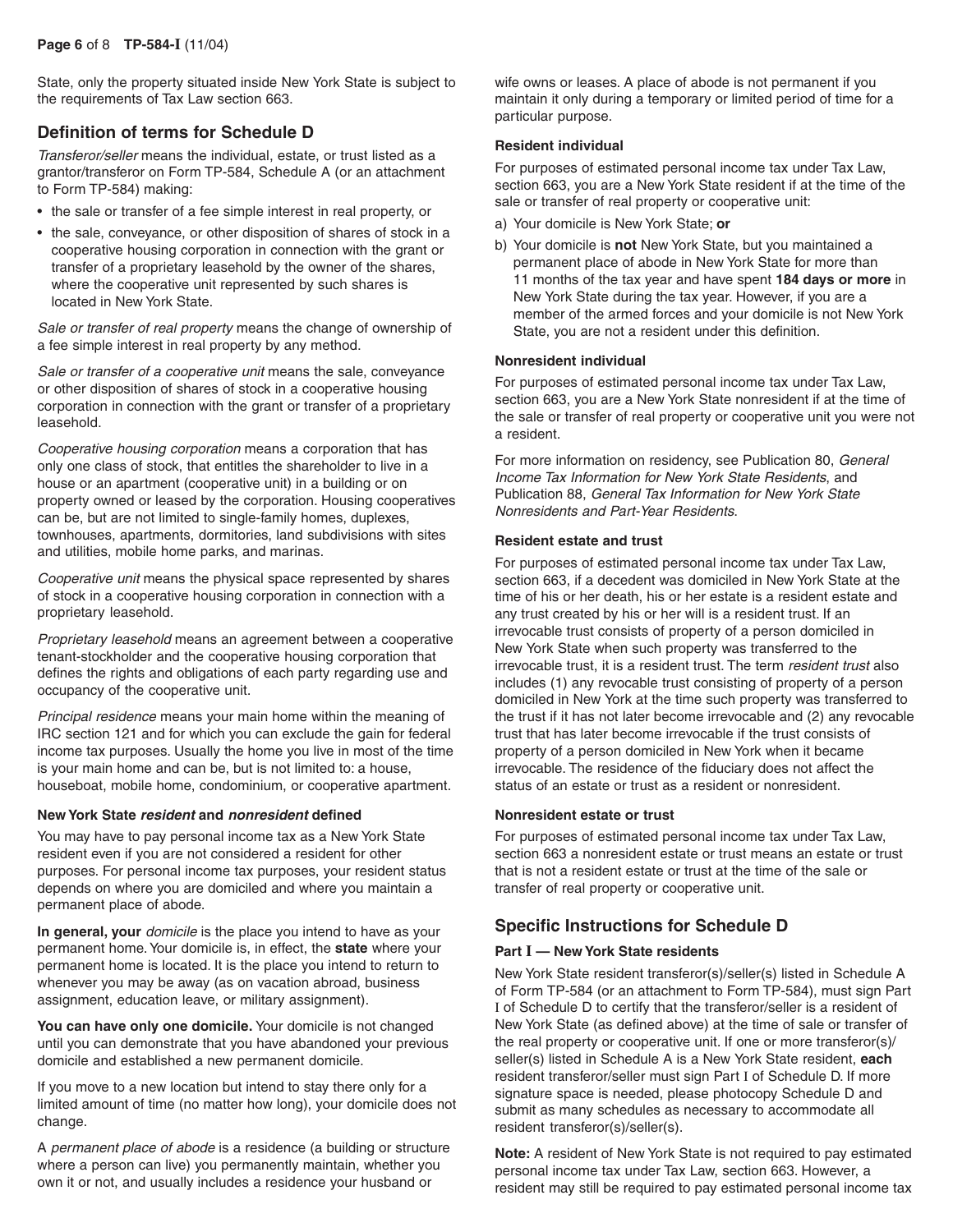State, only the property situated inside New York State is subject to the requirements of Tax Law section 663.

## **Definition of terms for Schedule D**

Transferor/seller means the individual, estate, or trust listed as a grantor/transferor on Form TP-584, Schedule A (or an attachment to Form TP-584) making:

- the sale or transfer of a fee simple interest in real property, or
- the sale, conveyance, or other disposition of shares of stock in a cooperative housing corporation in connection with the grant or transfer of a proprietary leasehold by the owner of the shares, where the cooperative unit represented by such shares is located in New York State.

Sale or transfer of real property means the change of ownership of a fee simple interest in real property by any method.

Sale or transfer of a cooperative unit means the sale, conveyance or other disposition of shares of stock in a cooperative housing corporation in connection with the grant or transfer of a proprietary leasehold.

Cooperative housing corporation means a corporation that has only one class of stock, that entitles the shareholder to live in a house or an apartment (cooperative unit) in a building or on property owned or leased by the corporation. Housing cooperatives can be, but are not limited to single-family homes, duplexes, townhouses, apartments, dormitories, land subdivisions with sites and utilities, mobile home parks, and marinas.

Cooperative unit means the physical space represented by shares of stock in a cooperative housing corporation in connection with a proprietary leasehold.

Proprietary leasehold means an agreement between a cooperative tenant-stockholder and the cooperative housing corporation that defines the rights and obligations of each party regarding use and occupancy of the cooperative unit.

Principal residence means your main home within the meaning of IRC section 121 and for which you can exclude the gain for federal income tax purposes. Usually the home you live in most of the time is your main home and can be, but is not limited to: a house, houseboat, mobile home, condominium, or cooperative apartment.

#### **New York State resident and nonresident defined**

You may have to pay personal income tax as a New York State resident even if you are not considered a resident for other purposes. For personal income tax purposes, your resident status depends on where you are domiciled and where you maintain a permanent place of abode.

In general, your *domicile* is the place you intend to have as your permanent home. Your domicile is, in effect, the **state** where your permanent home is located. It is the place you intend to return to whenever you may be away (as on vacation abroad, business assignment, education leave, or military assignment).

**You can have only one domicile.** Your domicile is not changed until you can demonstrate that you have abandoned your previous domicile and established a new permanent domicile.

If you move to a new location but intend to stay there only for a limited amount of time (no matter how long), your domicile does not change.

A permanent place of abode is a residence (a building or structure where a person can live) you permanently maintain, whether you own it or not, and usually includes a residence your husband or

wife owns or leases. A place of abode is not permanent if you maintain it only during a temporary or limited period of time for a particular purpose.

## **Resident individual**

For purposes of estimated personal income tax under Tax Law, section 663, you are a New York State resident if at the time of the sale or transfer of real property or cooperative unit:

- a) Your domicile is New York State; **or**
- b) Your domicile is **not** New York State, but you maintained a permanent place of abode in New York State for more than 11 months of the tax year and have spent **184 days or more** in New York State during the tax year. However, if you are a member of the armed forces and your domicile is not New York State, you are not a resident under this definition.

#### **Nonresident individual**

For purposes of estimated personal income tax under Tax Law, section 663, you are a New York State nonresident if at the time of the sale or transfer of real property or cooperative unit you were not a resident.

For more information on residency, see Publication 80, General Income Tax Information for New York State Residents, and Publication 88, General Tax Information for New York State Nonresidents and Part-Year Residents.

#### **Resident estate and trust**

For purposes of estimated personal income tax under Tax Law, section 663, if a decedent was domiciled in New York State at the time of his or her death, his or her estate is a resident estate and any trust created by his or her will is a resident trust. If an irrevocable trust consists of property of a person domiciled in New York State when such property was transferred to the irrevocable trust, it is a resident trust. The term resident trust also includes (1) any revocable trust consisting of property of a person domiciled in New York at the time such property was transferred to the trust if it has not later become irrevocable and (2) any revocable trust that has later become irrevocable if the trust consists of property of a person domiciled in New York when it became irrevocable. The residence of the fiduciary does not affect the status of an estate or trust as a resident or nonresident.

## **Nonresident estate or trust**

For purposes of estimated personal income tax under Tax Law, section 663 a nonresident estate or trust means an estate or trust that is not a resident estate or trust at the time of the sale or transfer of real property or cooperative unit.

## **Specific Instructions for Schedule D**

## **Part I — New York State residents**

New York State resident transferor(s)/seller(s) listed in Schedule A of Form TP-584 (or an attachment to Form TP-584), must sign Part I of Schedule D to certify that the transferor/seller is a resident of New York State (as defined above) at the time of sale or transfer of the real property or cooperative unit. If one or more transferor(s)/ seller(s) listed in Schedule A is a New York State resident, **each** resident transferor/seller must sign Part I of Schedule D. If more signature space is needed, please photocopy Schedule D and submit as many schedules as necessary to accommodate all resident transferor(s)/seller(s).

**Note:** A resident of New York State is not required to pay estimated personal income tax under Tax Law, section 663. However, a resident may still be required to pay estimated personal income tax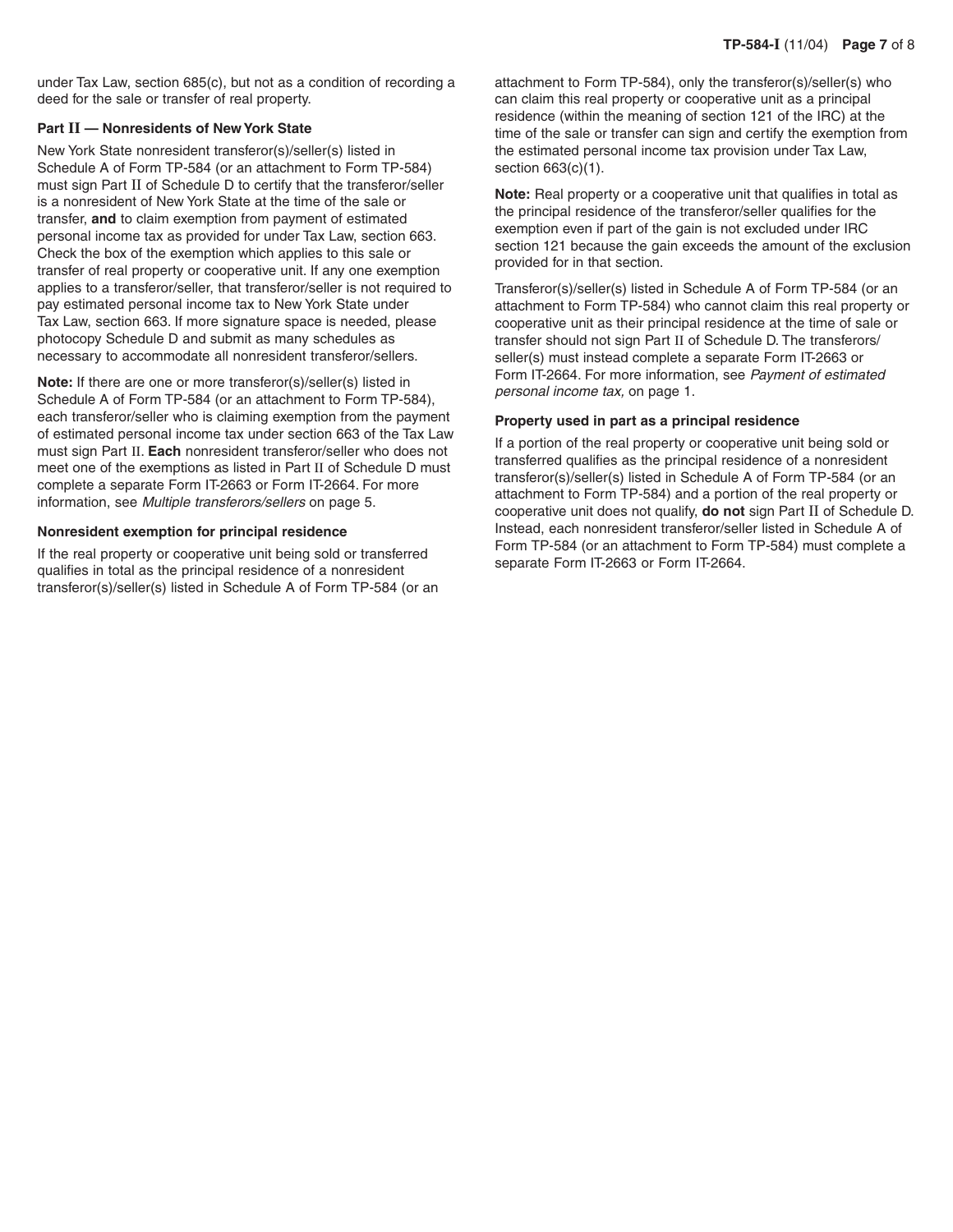under Tax Law, section 685(c), but not as a condition of recording a deed for the sale or transfer of real property.

#### **Part II — Nonresidents of New York State**

New York State nonresident transferor(s)/seller(s) listed in Schedule A of Form TP-584 (or an attachment to Form TP-584) must sign Part II of Schedule D to certify that the transferor/seller is a nonresident of New York State at the time of the sale or transfer, **and** to claim exemption from payment of estimated personal income tax as provided for under Tax Law, section 663. Check the box of the exemption which applies to this sale or transfer of real property or cooperative unit. If any one exemption applies to a transferor/seller, that transferor/seller is not required to pay estimated personal income tax to New York State under Tax Law, section 663. If more signature space is needed, please photocopy Schedule D and submit as many schedules as necessary to accommodate all nonresident transferor/sellers.

**Note:** If there are one or more transferor(s)/seller(s) listed in Schedule A of Form TP-584 (or an attachment to Form TP-584), each transferor/seller who is claiming exemption from the payment of estimated personal income tax under section 663 of the Tax Law must sign Part II. **Each** nonresident transferor/seller who does not meet one of the exemptions as listed in Part II of Schedule D must complete a separate Form IT-2663 or Form IT-2664. For more information, see Multiple transferors/sellers on page 5.

#### **Nonresident exemption for principal residence**

If the real property or cooperative unit being sold or transferred qualifies in total as the principal residence of a nonresident transferor(s)/seller(s) listed in Schedule A of Form TP-584 (or an attachment to Form TP-584), only the transferor(s)/seller(s) who can claim this real property or cooperative unit as a principal residence (within the meaning of section 121 of the IRC) at the time of the sale or transfer can sign and certify the exemption from the estimated personal income tax provision under Tax Law, section 663(c)(1).

**Note:** Real property or a cooperative unit that qualifies in total as the principal residence of the transferor/seller qualifies for the exemption even if part of the gain is not excluded under IRC section 121 because the gain exceeds the amount of the exclusion provided for in that section.

Transferor(s)/seller(s) listed in Schedule A of Form TP-584 (or an attachment to Form TP-584) who cannot claim this real property or cooperative unit as their principal residence at the time of sale or transfer should not sign Part II of Schedule D. The transferors/ seller(s) must instead complete a separate Form IT-2663 or Form IT-2664. For more information, see Payment of estimated personal income tax, on page 1.

#### **Property used in part as a principal residence**

If a portion of the real property or cooperative unit being sold or transferred qualifies as the principal residence of a nonresident transferor(s)/seller(s) listed in Schedule A of Form TP-584 (or an attachment to Form TP-584) and a portion of the real property or cooperative unit does not qualify, **do not** sign Part II of Schedule D. Instead, each nonresident transferor/seller listed in Schedule A of Form TP-584 (or an attachment to Form TP-584) must complete a separate Form IT-2663 or Form IT-2664.